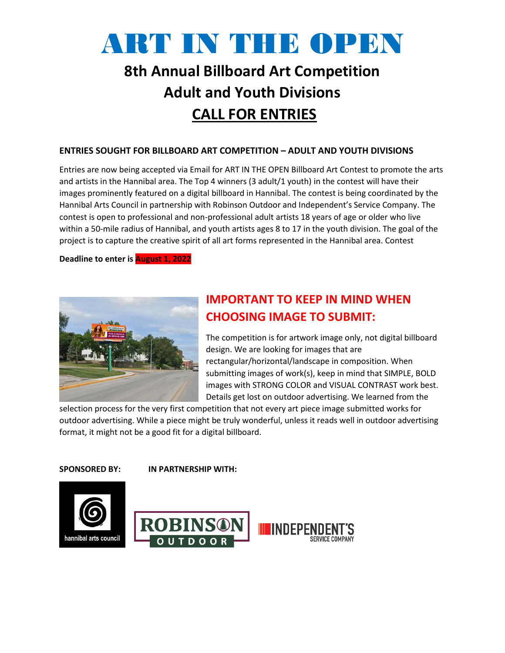# ART IN THE OPEN

# **8th Annual Billboard Art Competition Adult and Youth Divisions CALL FOR ENTRIES**

#### **ENTRIES SOUGHT FOR BILLBOARD ART COMPETITION – ADULT AND YOUTH DIVISIONS**

Entries are now being accepted via Email for ART IN THE OPEN Billboard Art Contest to promote the arts and artists in the Hannibal area. The Top 4 winners (3 adult/1 youth) in the contest will have their images prominently featured on a digital billboard in Hannibal. The contest is being coordinated by the Hannibal Arts Council in partnership with Robinson Outdoor and Independent's Service Company. The contest is open to professional and non-professional adult artists 18 years of age or older who live within a 50-mile radius of Hannibal, and youth artists ages 8 to 17 in the youth division. The goal of the project is to capture the creative spirit of all art forms represented in the Hannibal area. Contest

**Deadline to enter is August 1, 2022**



### **IMPORTANT TO KEEP IN MIND WHEN CHOOSING IMAGE TO SUBMIT:**

The competition is for artwork image only, not digital billboard design. We are looking for images that are rectangular/horizontal/landscape in composition. When submitting images of work(s), keep in mind that SIMPLE, BOLD images with STRONG COLOR and VISUAL CONTRAST work best. Details get lost on outdoor advertising. We learned from the

selection process for the very first competition that not every art piece image submitted works for outdoor advertising. While a piece might be truly wonderful, unless it reads well in outdoor advertising format, it might not be a good fit for a digital billboard.

**SPONSORED BY: IN PARTNERSHIP WITH:**

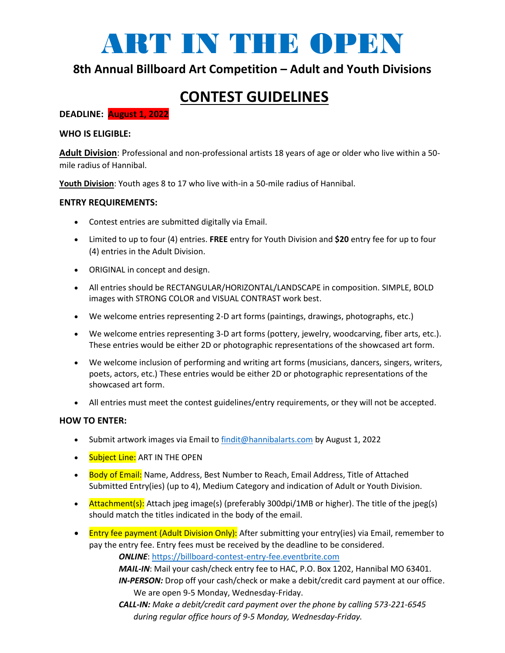

### **8th Annual Billboard Art Competition – Adult and Youth Divisions**

## **CONTEST GUIDELINES**

**DEADLINE: August 1, 2022**

#### **WHO IS ELIGIBLE:**

**Adult Division**: Professional and non-professional artists 18 years of age or older who live within a 50 mile radius of Hannibal.

**Youth Division**: Youth ages 8 to 17 who live with-in a 50-mile radius of Hannibal.

#### **ENTRY REQUIREMENTS:**

- Contest entries are submitted digitally via Email.
- Limited to up to four (4) entries. **FREE** entry for Youth Division and **\$20** entry fee for up to four (4) entries in the Adult Division.
- ORIGINAL in concept and design.
- All entries should be RECTANGULAR/HORIZONTAL/LANDSCAPE in composition. SIMPLE, BOLD images with STRONG COLOR and VISUAL CONTRAST work best.
- We welcome entries representing 2-D art forms (paintings, drawings, photographs, etc.)
- We welcome entries representing 3-D art forms (pottery, jewelry, woodcarving, fiber arts, etc.). These entries would be either 2D or photographic representations of the showcased art form.
- We welcome inclusion of performing and writing art forms (musicians, dancers, singers, writers, poets, actors, etc.) These entries would be either 2D or photographic representations of the showcased art form.
- All entries must meet the contest guidelines/entry requirements, or they will not be accepted.

#### **HOW TO ENTER:**

- Submit artwork images via Email to [findit@hannibalarts.com](mailto:findit@hannibalarts.com) by August 1, 2022
- Subject Line: ART IN THE OPEN
- Body of Email: Name, Address, Best Number to Reach, Email Address, Title of Attached Submitted Entry(ies) (up to 4), Medium Category and indication of Adult or Youth Division.
- Attachment(s): Attach jpeg image(s) (preferably 300dpi/1MB or higher). The title of the jpeg(s) should match the titles indicated in the body of the email.
- Entry fee payment (Adult Division Only): After submitting your entry(ies) via Email, remember to pay the entry fee. Entry fees must be received by the deadline to be considered.

*ONLINE*: [https://billboard-contest-entry-fee.eventbrite.com](https://billboard-contest-entry-fee.eventbrite.com/)

*MAIL-IN*: Mail your cash/check entry fee to HAC, P.O. Box 1202, Hannibal MO 63401. *IN-PERSON:* Drop off your cash/check or make a debit/credit card payment at our office. We are open 9-5 Monday, Wednesday-Friday.

*CALL-IN: Make a debit/credit card payment over the phone by calling 573-221-6545 during regular office hours of 9-5 Monday, Wednesday-Friday.*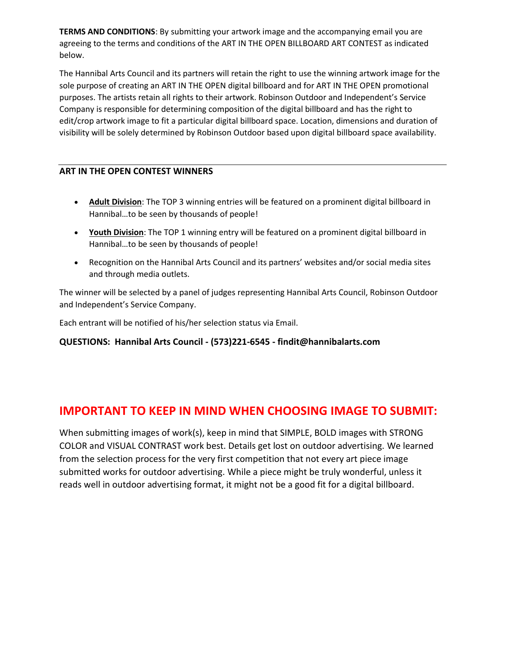**TERMS AND CONDITIONS**: By submitting your artwork image and the accompanying email you are agreeing to the terms and conditions of the ART IN THE OPEN BILLBOARD ART CONTEST as indicated below.

The Hannibal Arts Council and its partners will retain the right to use the winning artwork image for the sole purpose of creating an ART IN THE OPEN digital billboard and for ART IN THE OPEN promotional purposes. The artists retain all rights to their artwork. Robinson Outdoor and Independent's Service Company is responsible for determining composition of the digital billboard and has the right to edit/crop artwork image to fit a particular digital billboard space. Location, dimensions and duration of visibility will be solely determined by Robinson Outdoor based upon digital billboard space availability.

#### **ART IN THE OPEN CONTEST WINNERS**

- **Adult Division**: The TOP 3 winning entries will be featured on a prominent digital billboard in Hannibal…to be seen by thousands of people!
- **Youth Division**: The TOP 1 winning entry will be featured on a prominent digital billboard in Hannibal…to be seen by thousands of people!
- Recognition on the Hannibal Arts Council and its partners' websites and/or social media sites and through media outlets.

The winner will be selected by a panel of judges representing Hannibal Arts Council, Robinson Outdoor and Independent's Service Company.

Each entrant will be notified of his/her selection status via Email.

### **QUESTIONS: Hannibal Arts Council - (573)221-6545 - findit@hannibalarts.com**

### **IMPORTANT TO KEEP IN MIND WHEN CHOOSING IMAGE TO SUBMIT:**

When submitting images of work(s), keep in mind that SIMPLE, BOLD images with STRONG COLOR and VISUAL CONTRAST work best. Details get lost on outdoor advertising. We learned from the selection process for the very first competition that not every art piece image submitted works for outdoor advertising. While a piece might be truly wonderful, unless it reads well in outdoor advertising format, it might not be a good fit for a digital billboard.